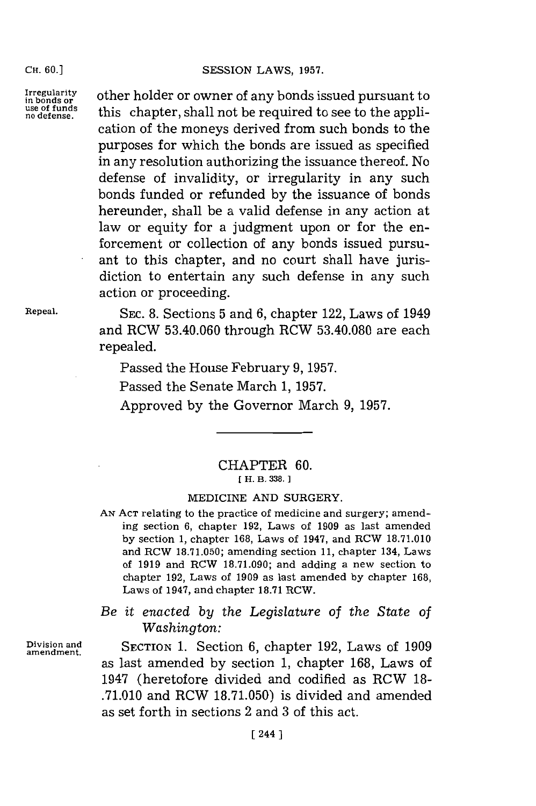**CH. 60.1**

**use of funds**

Irregularity other holder or owner of any bonds issued pursuant to **no defense,** this chapter, shall not be required to see to the application of the moneys derived from such bonds to the purposes for which the bonds are issued as specified in any resolution authorizing the issuance thereof. No defense of invalidity, or irregularity in any such bonds funded or refunded **by** the issuance of bonds hereunder, shall be a valid defense in any action at law or equity for a judgment upon or for the enforcement or collection of any bonds issued pursuant to this chapter, and no court shall have jurisdiction to entertain any such defense in any such action or proceeding.

Repeal. **SEC. 8.** Sections **5** and **6,** chapter 122, Laws of 1949 and RCW **53.40.060** through RCW **53.40.080** are each repealed.

Passed the House February **9, 1957.**

Passed the Senate March **1, 1957.**

Approved **by** the Governor March **9, 1957.**

## CHAPTER **60. [H. B. 338.**

## MEDICINE **AND** SURGERY.

**AN ACT** relating to the practice of medicine and surgery; amending section **6,** chapter **192,** Laws of **1909** as last amended **by** section **1,** chapter **168,** Laws of 1947, and RCW **18.71.010** and RCW **18.7 1.050;** amending section **11,** chapter 134, Laws of **1919** and RCW **18.71.090;** and adding a new section to chapter **192,** Laws of **1909** as last amended **by** chapter **168,** Laws of 1947, and chapter **18.71** RCW.

*Be it enacted by the Legislature* of *the State of* Washington:

**Division and SECTION 1.** Section **6,** chapter **192,** Laws of **<sup>1909</sup> amendment.** as last amended **by** section **1,** chapter **168,** Laws of 1947 (heretofore divided and codified as RCW **18- .71.010** and RCW **18.71.050)** is divided and amended as set forth in sections 2 and **3** of this act.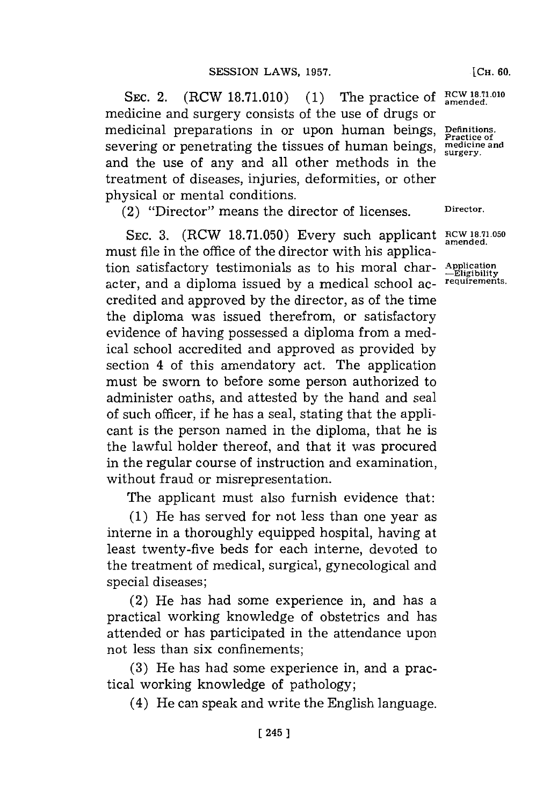SEC. 2. (RCW 18.71.010) (1) The practice of RCW 18.71.010 medicine and surgery consists of the use of drugs or medicinal preparations in or upon human beings, Definitions. severing or penetrating the tissues of human beings,  $\frac{1}{\text{surface and}}$ and the use of any and all other methods in the treatment of diseases, injuries, deformities, or other physical or mental conditions.

(2) "Director" means the director of licenses. **Director.**

**SEC. 3.** (RCW **18.71.050)** Every such applicant **RCW 1871.050** must file in the office of the director with his application satisfactory testimonials as to his moral char- Application<br>actor and a diploma issued by a medical school as requirements. acter, and a diploma issued by a medical school accredited and approved **by** the director, as of the time the diploma was issued therefrom, or satisfactory evidence of having possessed a diploma from a medical school accredited and approved as provided **by** section 4 of this amendatory act. The application must be sworn to before some person authorized to administer oaths, and attested **by** the hand and seal of such officer, if he has a seal, stating that the applicant is the person named in the diploma, that he is the lawful holder thereof, and that it was procured in the regular course of instruction and examination, without fraud or misrepresentation.

The applicant must also furnish evidence that:

(1) He has served for not less than one year as interne in a thoroughly equipped hospital, having at least twenty-five beds for each interne, devoted to the treatment of medical, surgical, gynecological and special diseases;

(2) He has had some experience in, and has a practical working knowledge of obstetrics and has attended or has participated in the attendance upon not less than six confinements;

**(3)** He has had some experience in, and a practical working knowledge of pathology;

(4) He can speak and write the English language.

**-Eligibility**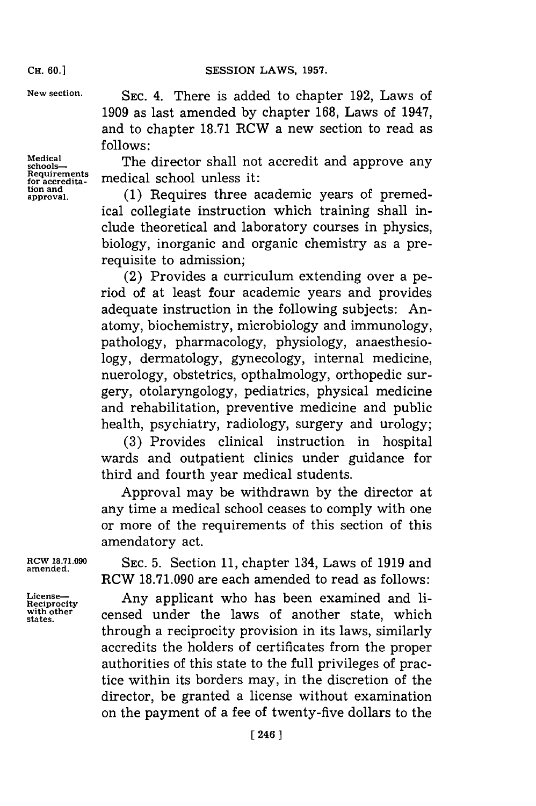**New section. SEC.** 4. There is added to chapter **192,** Laws of **1909** as last amended **by** chapter **168,** Laws of 1947, and to chapter **18.71** RCW a new section to read as **follows:**

Medical **schools**<br>schools-- **School** The director shall not accredit and approve any<br>requirements medical school unloss it: **Requirements 1** oluesit **for accredita-** medical scholunes t

**approval. (1)** Requires three academic years of premedical collegiate instruction which training shall include theoretical and laboratory courses in physics, biology, inorganic and organic chemistry as a prerequisite to admission;

(2) Provides a curriculum extending over a period of at least four academic years and provides adequate instruction in the following subjects: Anatomy, biochemistry, microbiology and immunology, pathology, pharmacology, physiology, anaesthesiology, dermatology, gynecology, internal medicine, nuerology, obstetrics, opthalmology, orthopedic surgery, otolaryngology, pediatrics, physical medicine and rehabilitation, preventive medicine and public health, psychiatry, radiology, surgery and urology;

**(3)** Provides clinical instruction in hospital wards and outpatient clinics under guidance for third and fourth year medical students.

Approval may be withdrawn **by** the director at any time a medical school ceases to comply with one or more of the requirements of this section of this amendatory act.

**ROW 18.71.090 SEC. 5.** Section **11,** chapter 134, Laws of **1919** and **amended.** RCW **18.71.090** are each amended to read as follows:

License-**Any** applicant who has been examined and liwith other censed under the laws of another state, which through a reciprocity provision in its laws, similarly accredits the holders of certificates from the proper authorities of this state to the full privileges of practice within its borders may, in the discretion of the director, be granted a license without examination on the payment of a fee of twenty-five dollars to the

**CH. 60.1**

**Medical**

for accredita-<br>tion and<br>approval.